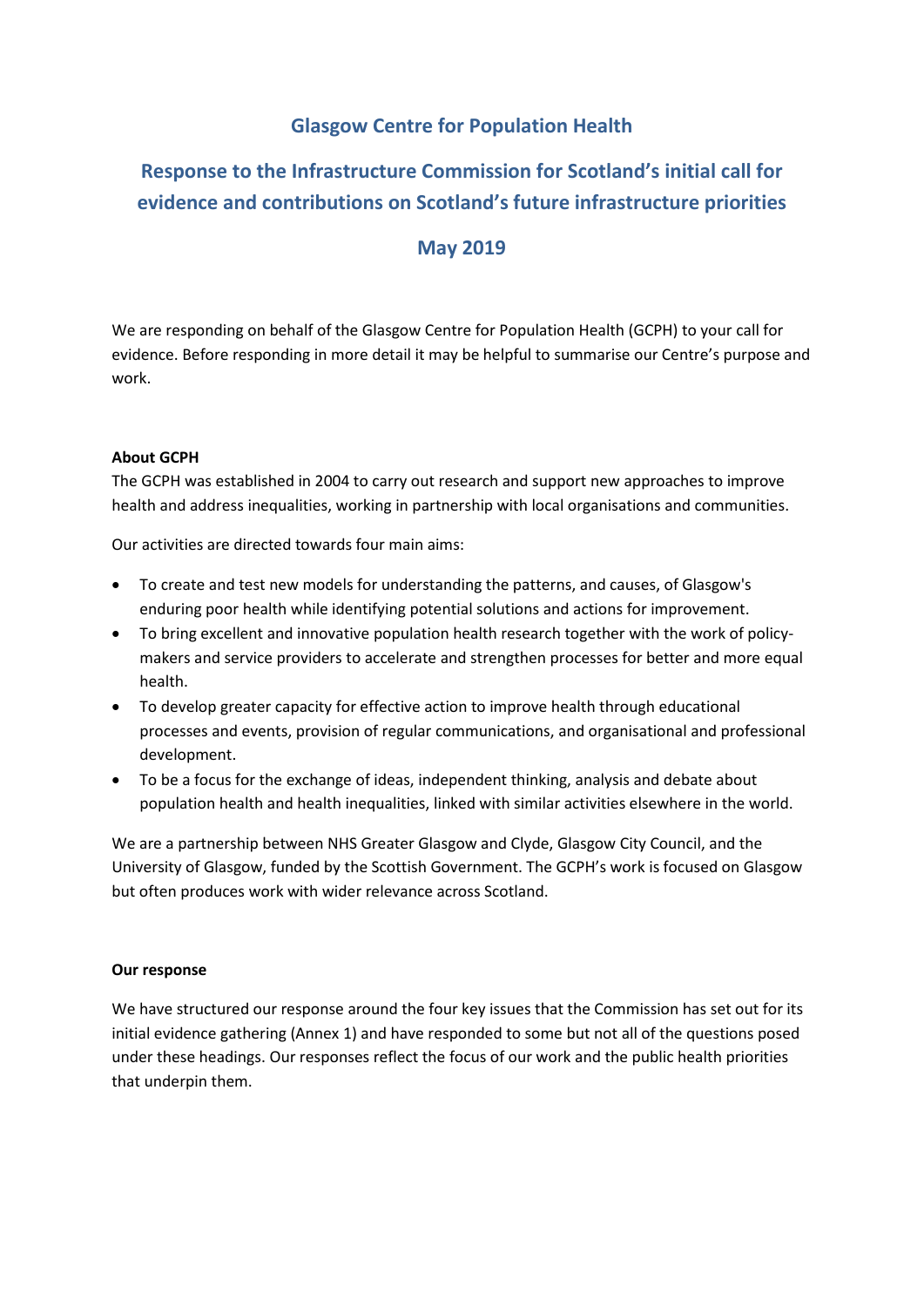## **Glasgow Centre for Population Health**

# **Response to the Infrastructure Commission for Scotland's initial call for evidence and contributions on Scotland's future infrastructure priorities**

## **May 2019**

We are responding on behalf of the Glasgow Centre for Population Health (GCPH) to your call for evidence. Before responding in more detail it may be helpful to summarise our Centre's purpose and work.

### **About GCPH**

The GCPH was established in 2004 to carry out research and support new approaches to improve health and address inequalities, working in partnership with local organisations and communities.

Our activities are directed towards four main aims:

- To create and test new models for understanding the patterns, and causes, of Glasgow's enduring poor health while identifying potential solutions and actions for improvement.
- To bring excellent and innovative population health research together with the work of policymakers and service providers to accelerate and strengthen processes for better and more equal health.
- To develop greater capacity for effective action to improve health through educational processes and events, provision of regular communications, and organisational and professional development.
- To be a focus for the exchange of ideas, independent thinking, analysis and debate about population health and health inequalities, linked with similar activities elsewhere in the world.

We are a partnership between NHS Greater Glasgow and Clyde, Glasgow City Council, and the University of Glasgow, funded by the Scottish Government. The GCPH's work is focused on Glasgow but often produces work with wider relevance across Scotland.

#### **Our response**

We have structured our response around the four key issues that the Commission has set out for its initial evidence gathering (Annex 1) and have responded to some but not all of the questions posed under these headings. Our responses reflect the focus of our work and the public health priorities that underpin them.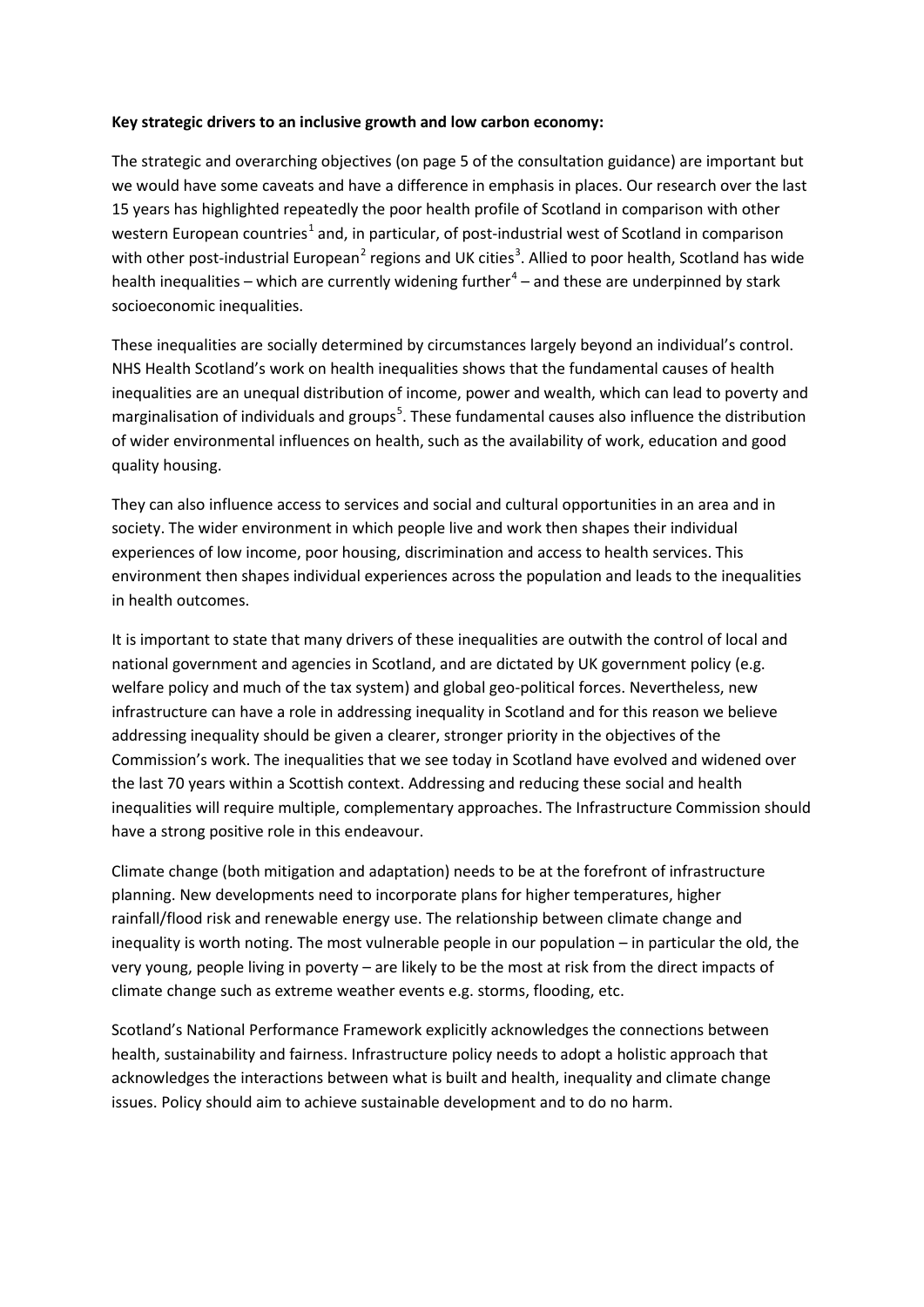#### **Key strategic drivers to an inclusive growth and low carbon economy:**

The strategic and overarching objectives (on page 5 of the consultation guidance) are important but we would have some caveats and have a difference in emphasis in places. Our research over the last 15 years has highlighted repeatedly the poor health profile of Scotland in comparison with other western European countries<sup>[1](#page-4-0)</sup> and, in particular, of post-industrial west of Scotland in comparison with other post-industrial European<sup>[2](#page-4-1)</sup> regions and UK cities<sup>[3](#page-4-2)</sup>. Allied to poor health, Scotland has wide health inequalities – which are currently widening further<sup>[4](#page-4-3)</sup> – and these are underpinned by stark socioeconomic inequalities.

<span id="page-1-0"></span>These inequalities are socially determined by circumstances largely beyond an individual's control. NHS Health Scotland's work on health inequalities shows that the fundamental causes of health inequalities are an unequal distribution of income, power and wealth, which can lead to poverty and marginalisation of individuals and groups<sup>[5](#page-4-4)</sup>. These fundamental causes also influence the distribution of wider environmental influences on health, such as the availability of work, education and good quality housing.

They can also influence access to services and social and cultural opportunities in an area and in society. The wider environment in which people live and work then shapes their individual experiences of low income, poor housing, discrimination and access to health services. This environment then shapes individual experiences across the population and leads to the inequalities in health outcome[s.](#page-1-0)

It is important to state that many drivers of these inequalities are outwith the control of local and national government and agencies in Scotland, and are dictated by UK government policy (e.g. welfare policy and much of the tax system) and global geo-political forces. Nevertheless, new infrastructure can have a role in addressing inequality in Scotland and for this reason we believe addressing inequality should be given a clearer, stronger priority in the objectives of the Commission's work. The inequalities that we see today in Scotland have evolved and widened over the last 70 years within a Scottish context. Addressing and reducing these social and health inequalities will require multiple, complementary approaches. The Infrastructure Commission should have a strong positive role in this endeavour.

Climate change (both mitigation and adaptation) needs to be at the forefront of infrastructure planning. New developments need to incorporate plans for higher temperatures, higher rainfall/flood risk and renewable energy use. The relationship between climate change and inequality is worth noting. The most vulnerable people in our population – in particular the old, the very young, people living in poverty – are likely to be the most at risk from the direct impacts of climate change such as extreme weather events e.g. storms, flooding, etc.

Scotland's National Performance Framework explicitly acknowledges the connections between health, sustainability and fairness. Infrastructure policy needs to adopt a holistic approach that acknowledges the interactions between what is built and health, inequality and climate change issues. Policy should aim to achieve sustainable development and to do no harm.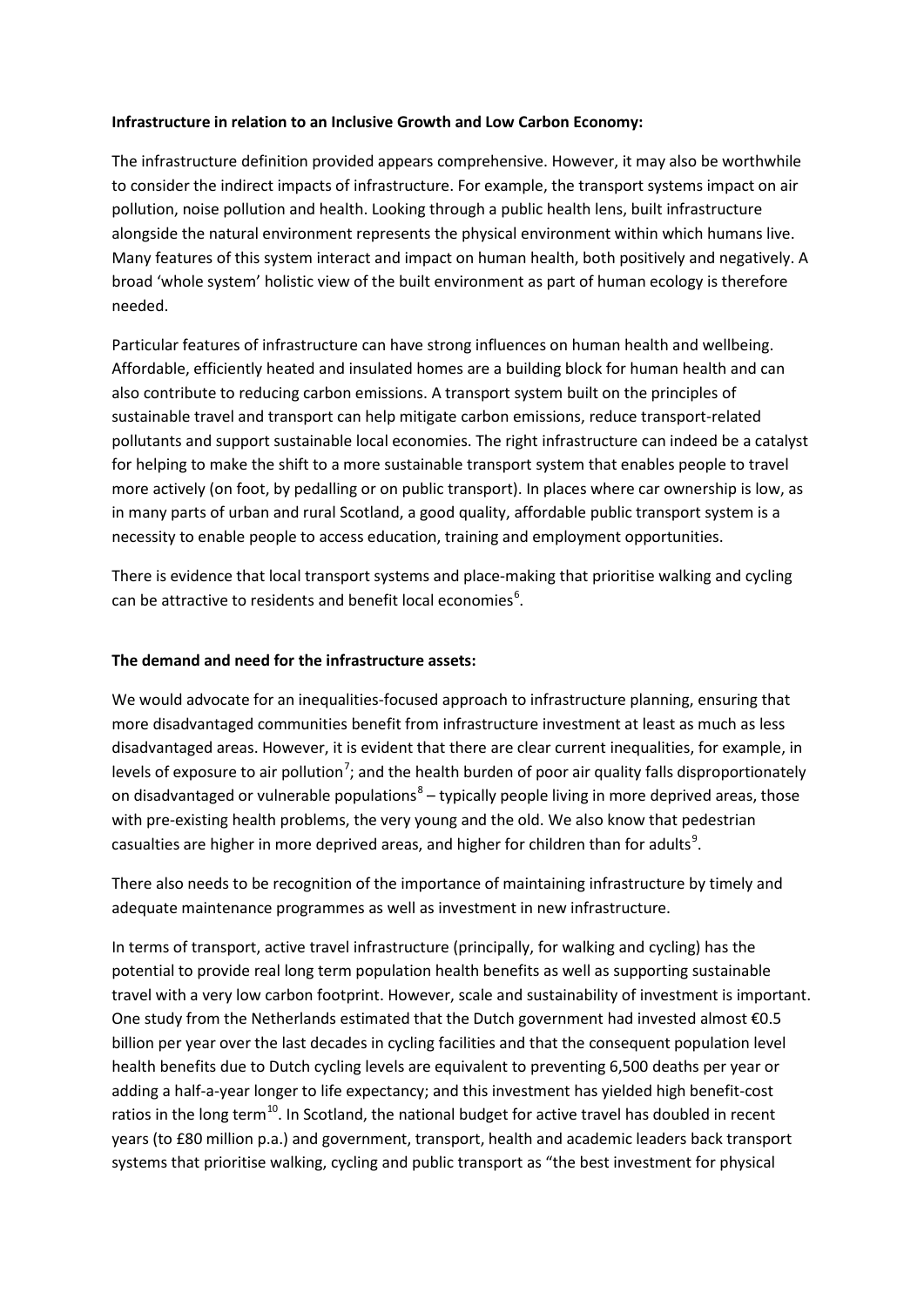### **Infrastructure in relation to an Inclusive Growth and Low Carbon Economy:**

The infrastructure definition provided appears comprehensive. However, it may also be worthwhile to consider the indirect impacts of infrastructure. For example, the transport systems impact on air pollution, noise pollution and health. Looking through a public health lens, built infrastructure alongside the natural environment represents the physical environment within which humans live. Many features of this system interact and impact on human health, both positively and negatively. A broad 'whole system' holistic view of the built environment as part of human ecology is therefore needed.

Particular features of infrastructure can have strong influences on human health and wellbeing. Affordable, efficiently heated and insulated homes are a building block for human health and can also contribute to reducing carbon emissions. A transport system built on the principles of sustainable travel and transport can help mitigate carbon emissions, reduce transport-related pollutants and support sustainable local economies. The right infrastructure can indeed be a catalyst for helping to make the shift to a more sustainable transport system that enables people to travel more actively (on foot, by pedalling or on public transport). In places where car ownership is low, as in many parts of urban and rural Scotland, a good quality, affordable public transport system is a necessity to enable people to access education, training and employment opportunities.

There is evidence that local transport systems and place-making that prioritise walking and cycling can be attractive to residents and benefit local economies $<sup>6</sup>$  $<sup>6</sup>$  $<sup>6</sup>$ .</sup>

#### **The demand and need for the infrastructure assets:**

We would advocate for an inequalities-focused approach to infrastructure planning, ensuring that more disadvantaged communities benefit from infrastructure investment at least as much as less disadvantaged areas. However, it is evident that there are clear current inequalities, for example, in levels of exposure to air pollution<sup>[7](#page-4-6)</sup>; and the health burden of poor air quality falls disproportionately on disadvantaged or vulnerable populations<sup>[8](#page-4-7)</sup> – typically people living in more deprived areas, those with pre-existing health problems, the very young and the old. We also know that pedestrian casualties are higher in more deprived areas, and higher for children than for adults<sup>[9](#page-4-8)</sup>.

There also needs to be recognition of the importance of maintaining infrastructure by timely and adequate maintenance programmes as well as investment in new infrastructure.

In terms of transport, active travel infrastructure (principally, for walking and cycling) has the potential to provide real long term population health benefits as well as supporting sustainable travel with a very low carbon footprint. However, scale and sustainability of investment is important. One study from the Netherlands estimated that the Dutch government had invested almost €0.5 billion per year over the last decades in cycling facilities and that the consequent population level health benefits due to Dutch cycling levels are equivalent to preventing 6,500 deaths per year or adding a half-a-year longer to life expectancy; and this investment has yielded high benefit-cost ratios in the long term<sup>[10](#page-4-9)</sup>. In Scotland, the national budget for active travel has doubled in recent years (to £80 million p.a.) an[d government, transport, health and academic leaders back transport](https://bjsm.bmj.com/content/53/8/466)  [systems that prioritise walking, cycling and public transport](https://bjsm.bmj.com/content/53/8/466) as "the best investment for physical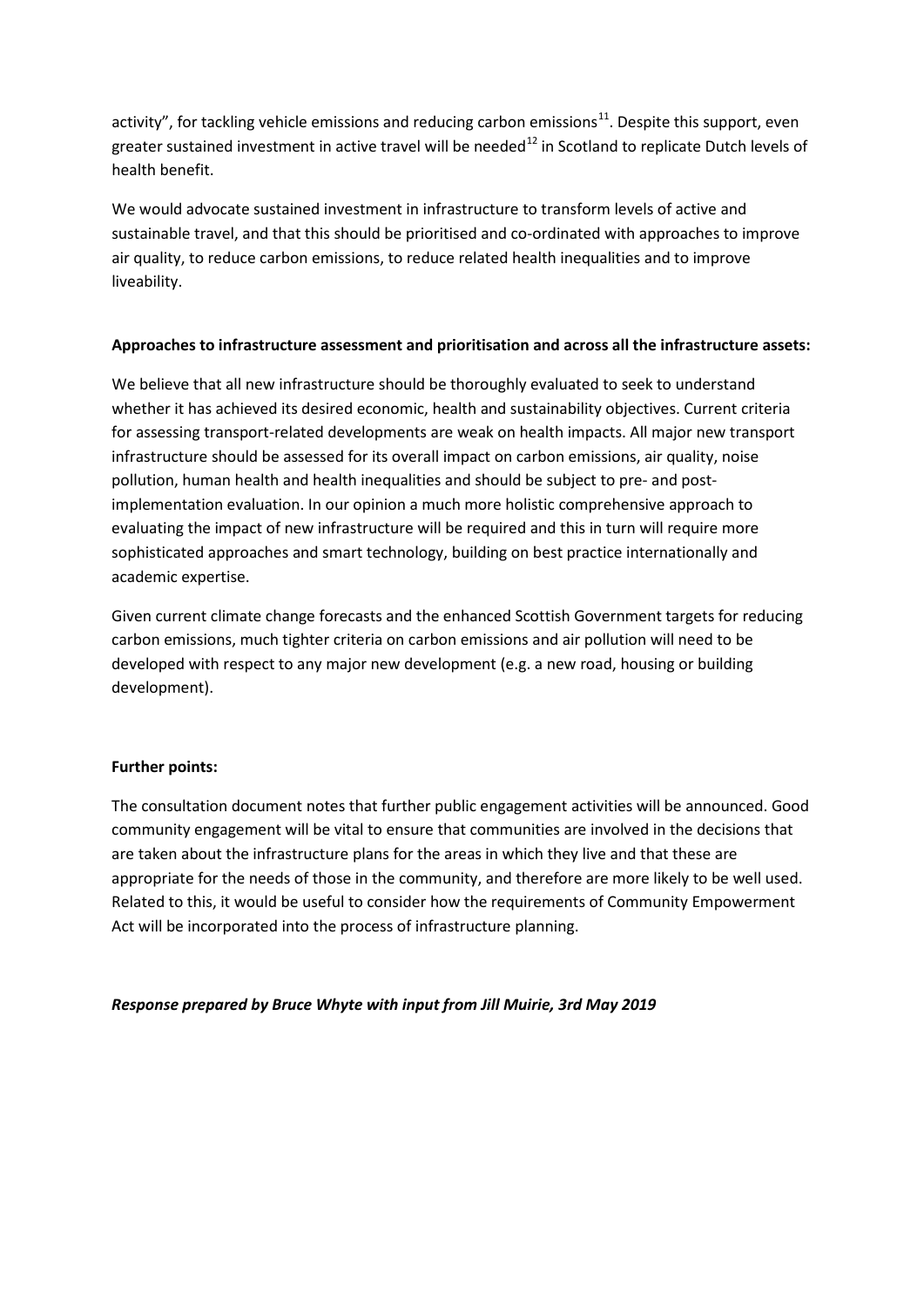activity", for tackling vehicle emissions and reducing carbon emissions $^{11}$ . Despite this support, even greater sustained investment in active travel will be needed<sup>[12](#page-4-11)</sup> in Scotland to replicate Dutch levels of health benefit.

We would advocate sustained investment in infrastructure to transform levels of active and sustainable travel, and that this should be prioritised and co-ordinated with approaches to improve air quality, to reduce carbon emissions, to reduce related health inequalities and to improve liveability.

### **Approaches to infrastructure assessment and prioritisation and across all the infrastructure assets:**

We believe that all new infrastructure should be thoroughly evaluated to seek to understand whether it has achieved its desired economic, health and sustainability objectives. Current criteria for assessing transport-related developments are weak on health impacts. All major new transport infrastructure should be assessed for its overall impact on carbon emissions, air quality, noise pollution, human health and health inequalities and should be subject to pre- and postimplementation evaluation. In our opinion a much more holistic comprehensive approach to evaluating the impact of new infrastructure will be required and this in turn will require more sophisticated approaches and smart technology, building on best practice internationally and academic expertise.

Given current climate change forecasts and the enhanced Scottish Government targets for reducing carbon emissions, much tighter criteria on carbon emissions and air pollution will need to be developed with respect to any major new development (e.g. a new road, housing or building development).

#### **Further points:**

The consultation document notes that further public engagement activities will be announced. Good community engagement will be vital to ensure that communities are involved in the decisions that are taken about the infrastructure plans for the areas in which they live and that these are appropriate for the needs of those in the community, and therefore are more likely to be well used. Related to this, it would be useful to consider how the requirements of Community Empowerment Act will be incorporated into the process of infrastructure planning.

*Response prepared by Bruce Whyte with input from Jill Muirie, 3rd May 2019*